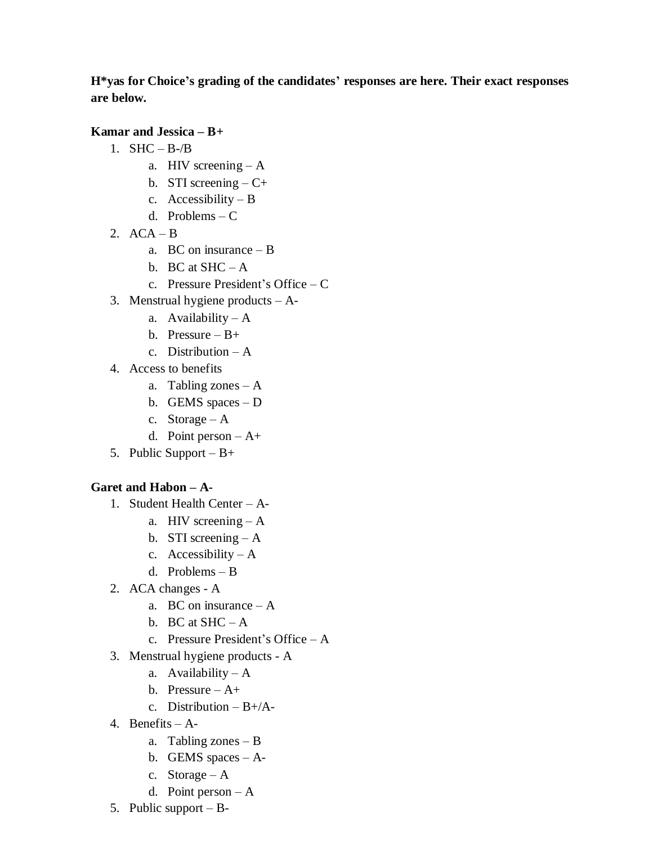**H\*yas for Choice's grading of the candidates' responses are here. Their exact responses are below.**

**Kamar and Jessica – B+**

- 1.  $SHC B /B$ 
	- a. HIV screening A
	- b. STI screening  $-C+$
	- c. Accessibility B
	- d. Problems C
- 2.  $ACA B$ 
	- a. BC on insurance B
	- b. BC at  $SHC A$
	- c. Pressure President's Office C
- 3. Menstrual hygiene products A
	- a. Availability  $-A$
	- b. Pressure B+
	- c. Distribution A
- 4. Access to benefits
	- a. Tabling zones A
	- b. GEMS spaces D
	- c. Storage  $A$
	- d. Point person  $-A+$
- 5. Public Support B+

## **Garet and Habon – A-**

- 1. Student Health Center A
	- a. HIV screening A
	- b. STI screening  $A$
	- c. Accessibility  $-A$
	- d. Problems B
- 2. ACA changes A
	- a. BC on insurance A
	- b. BC at  $SHC A$
	- c. Pressure President's Office A
- 3. Menstrual hygiene products A
	- a. Availability  $-A$
	- b. Pressure  $-A+$
	- c. Distribution  $-B+/A-$
- 4. Benefits A
	- a. Tabling zones B
	- b. GEMS spaces A-
	- c. Storage A
	- d. Point person  $-A$
- 5. Public support B-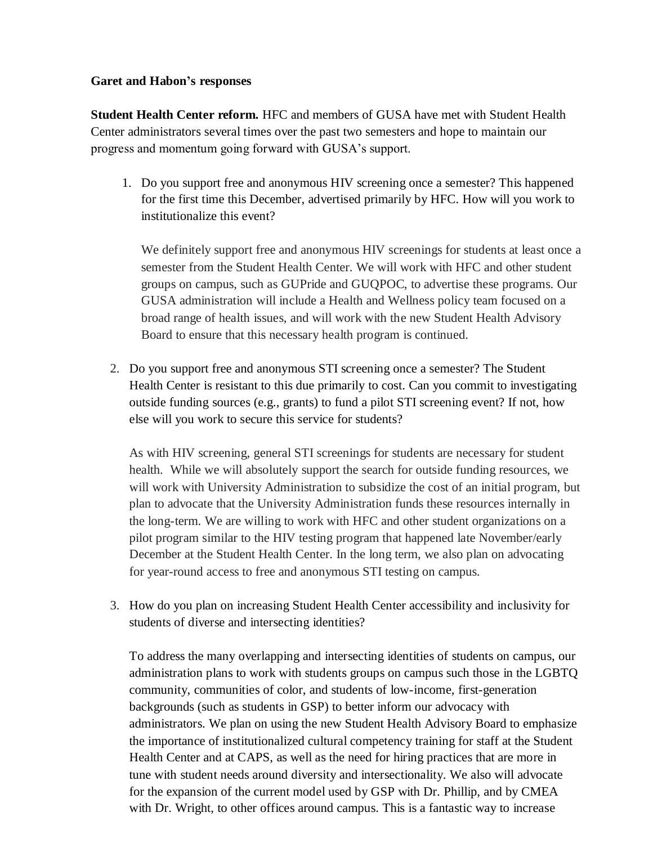## **Garet and Habon's responses**

**Student Health Center reform.** HFC and members of GUSA have met with Student Health Center administrators several times over the past two semesters and hope to maintain our progress and momentum going forward with GUSA's support.

1. Do you support free and anonymous HIV screening once a semester? This happened for the first time this December, advertised primarily by HFC. How will you work to institutionalize this event?

We definitely support free and anonymous HIV screenings for students at least once a semester from the Student Health Center. We will work with HFC and other student groups on campus, such as GUPride and GUQPOC, to advertise these programs. Our GUSA administration will include a Health and Wellness policy team focused on a broad range of health issues, and will work with the new Student Health Advisory Board to ensure that this necessary health program is continued.

2. Do you support free and anonymous STI screening once a semester? The Student Health Center is resistant to this due primarily to cost. Can you commit to investigating outside funding sources (e.g., grants) to fund a pilot STI screening event? If not, how else will you work to secure this service for students?

As with HIV screening, general STI screenings for students are necessary for student health. While we will absolutely support the search for outside funding resources, we will work with University Administration to subsidize the cost of an initial program, but plan to advocate that the University Administration funds these resources internally in the long-term. We are willing to work with HFC and other student organizations on a pilot program similar to the HIV testing program that happened late November/early December at the Student Health Center. In the long term, we also plan on advocating for year-round access to free and anonymous STI testing on campus.

3. How do you plan on increasing Student Health Center accessibility and inclusivity for students of diverse and intersecting identities?

To address the many overlapping and intersecting identities of students on campus, our administration plans to work with students groups on campus such those in the LGBTQ community, communities of color, and students of low-income, first-generation backgrounds (such as students in GSP) to better inform our advocacy with administrators. We plan on using the new Student Health Advisory Board to emphasize the importance of institutionalized cultural competency training for staff at the Student Health Center and at CAPS, as well as the need for hiring practices that are more in tune with student needs around diversity and intersectionality. We also will advocate for the expansion of the current model used by GSP with Dr. Phillip, and by CMEA with Dr. Wright, to other offices around campus. This is a fantastic way to increase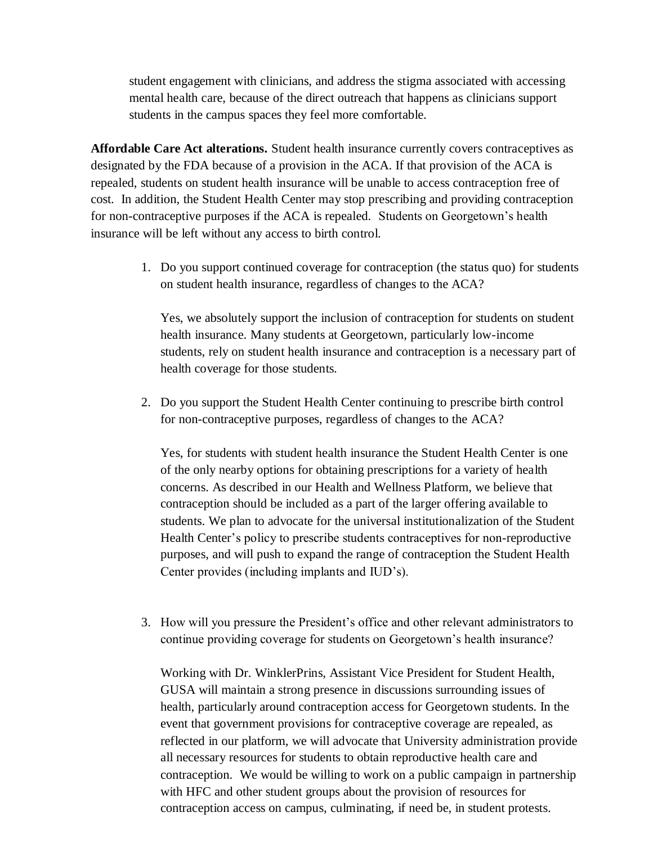student engagement with clinicians, and address the stigma associated with accessing mental health care, because of the direct outreach that happens as clinicians support students in the campus spaces they feel more comfortable.

**Affordable Care Act alterations.** Student health insurance currently covers contraceptives as designated by the FDA because of a provision in the ACA. If that provision of the ACA is repealed, students on student health insurance will be unable to access contraception free of cost. In addition, the Student Health Center may stop prescribing and providing contraception for non-contraceptive purposes if the ACA is repealed. Students on Georgetown's health insurance will be left without any access to birth control.

> 1. Do you support continued coverage for contraception (the status quo) for students on student health insurance, regardless of changes to the ACA?

Yes, we absolutely support the inclusion of contraception for students on student health insurance. Many students at Georgetown, particularly low-income students, rely on student health insurance and contraception is a necessary part of health coverage for those students.

2. Do you support the Student Health Center continuing to prescribe birth control for non-contraceptive purposes, regardless of changes to the ACA?

Yes, for students with student health insurance the Student Health Center is one of the only nearby options for obtaining prescriptions for a variety of health concerns. As described in our Health and Wellness Platform, we believe that contraception should be included as a part of the larger offering available to students. We plan to advocate for the universal institutionalization of the Student Health Center's policy to prescribe students contraceptives for non-reproductive purposes, and will push to expand the range of contraception the Student Health Center provides (including implants and IUD's).

3. How will you pressure the President's office and other relevant administrators to continue providing coverage for students on Georgetown's health insurance?

Working with Dr. WinklerPrins, Assistant Vice President for Student Health, GUSA will maintain a strong presence in discussions surrounding issues of health, particularly around contraception access for Georgetown students. In the event that government provisions for contraceptive coverage are repealed, as reflected in our platform, we will advocate that University administration provide all necessary resources for students to obtain reproductive health care and contraception. We would be willing to work on a public campaign in partnership with HFC and other student groups about the provision of resources for contraception access on campus, culminating, if need be, in student protests.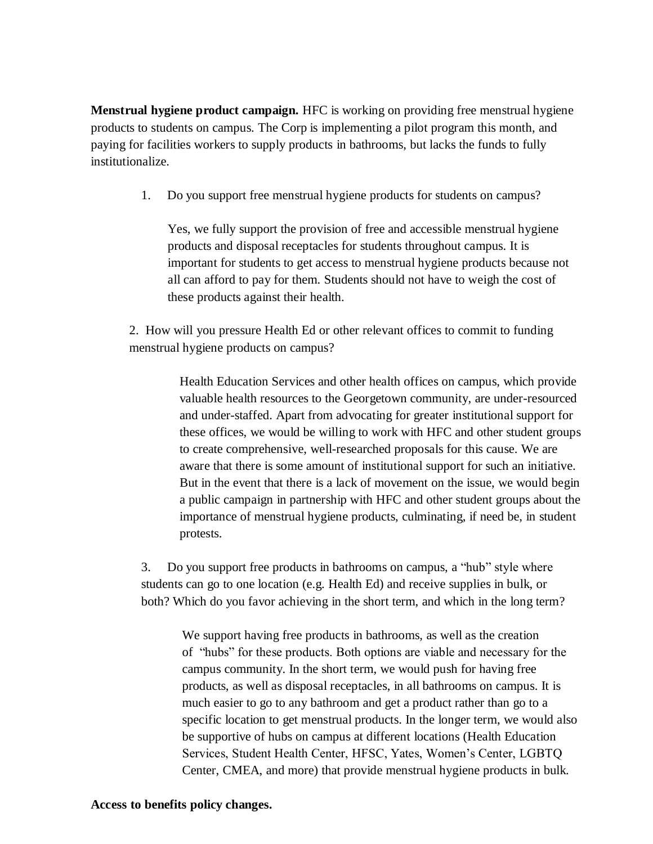**Menstrual hygiene product campaign.** HFC is working on providing free menstrual hygiene products to students on campus. The Corp is implementing a pilot program this month, and paying for facilities workers to supply products in bathrooms, but lacks the funds to fully institutionalize.

1. Do you support free menstrual hygiene products for students on campus?

Yes, we fully support the provision of free and accessible menstrual hygiene products and disposal receptacles for students throughout campus. It is important for students to get access to menstrual hygiene products because not all can afford to pay for them. Students should not have to weigh the cost of these products against their health.

2. How will you pressure Health Ed or other relevant offices to commit to funding menstrual hygiene products on campus?

> Health Education Services and other health offices on campus, which provide valuable health resources to the Georgetown community, are under-resourced and under-staffed. Apart from advocating for greater institutional support for these offices, we would be willing to work with HFC and other student groups to create comprehensive, well-researched proposals for this cause. We are aware that there is some amount of institutional support for such an initiative. But in the event that there is a lack of movement on the issue, we would begin a public campaign in partnership with HFC and other student groups about the importance of menstrual hygiene products, culminating, if need be, in student protests.

3. Do you support free products in bathrooms on campus, a "hub" style where students can go to one location (e.g. Health Ed) and receive supplies in bulk, or both? Which do you favor achieving in the short term, and which in the long term?

We support having free products in bathrooms, as well as the creation of "hubs" for these products. Both options are viable and necessary for the campus community. In the short term, we would push for having free products, as well as disposal receptacles, in all bathrooms on campus. It is much easier to go to any bathroom and get a product rather than go to a specific location to get menstrual products. In the longer term, we would also be supportive of hubs on campus at different locations (Health Education Services, Student Health Center, HFSC, Yates, Women's Center, LGBTQ Center, CMEA, and more) that provide menstrual hygiene products in bulk.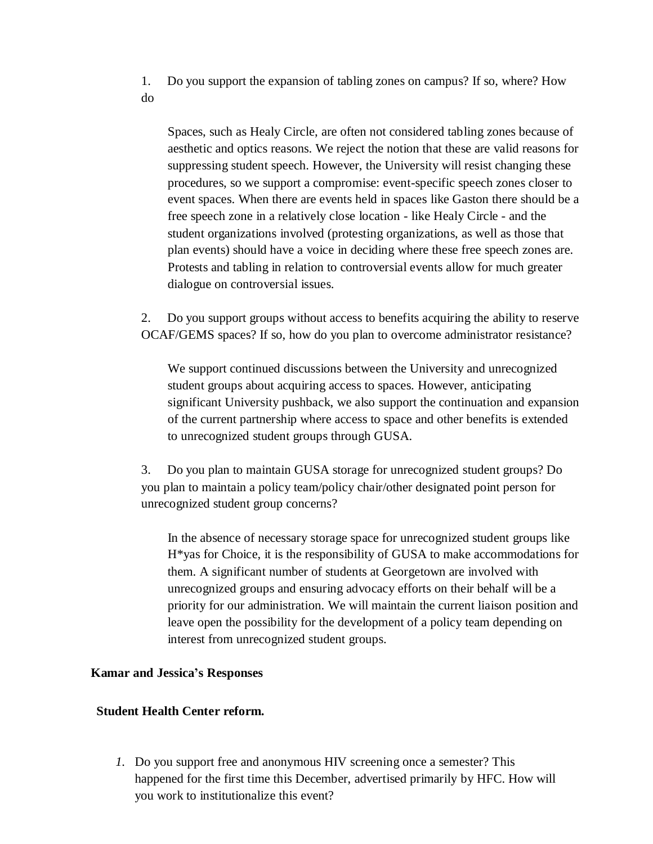1. Do you support the expansion of tabling zones on campus? If so, where? How do

Spaces, such as Healy Circle, are often not considered tabling zones because of aesthetic and optics reasons. We reject the notion that these are valid reasons for suppressing student speech. However, the University will resist changing these procedures, so we support a compromise: event-specific speech zones closer to event spaces. When there are events held in spaces like Gaston there should be a free speech zone in a relatively close location - like Healy Circle - and the student organizations involved (protesting organizations, as well as those that plan events) should have a voice in deciding where these free speech zones are. Protests and tabling in relation to controversial events allow for much greater dialogue on controversial issues.

2. Do you support groups without access to benefits acquiring the ability to reserve OCAF/GEMS spaces? If so, how do you plan to overcome administrator resistance?

We support continued discussions between the University and unrecognized student groups about acquiring access to spaces. However, anticipating significant University pushback, we also support the continuation and expansion of the current partnership where access to space and other benefits is extended to unrecognized student groups through GUSA.

3. Do you plan to maintain GUSA storage for unrecognized student groups? Do you plan to maintain a policy team/policy chair/other designated point person for unrecognized student group concerns?

In the absence of necessary storage space for unrecognized student groups like H\*yas for Choice, it is the responsibility of GUSA to make accommodations for them. A significant number of students at Georgetown are involved with unrecognized groups and ensuring advocacy efforts on their behalf will be a priority for our administration. We will maintain the current liaison position and leave open the possibility for the development of a policy team depending on interest from unrecognized student groups.

#### **Kamar and Jessica's Responses**

## **Student Health Center reform.**

*1.* Do you support free and anonymous HIV screening once a semester? This happened for the first time this December, advertised primarily by HFC. How will you work to institutionalize this event?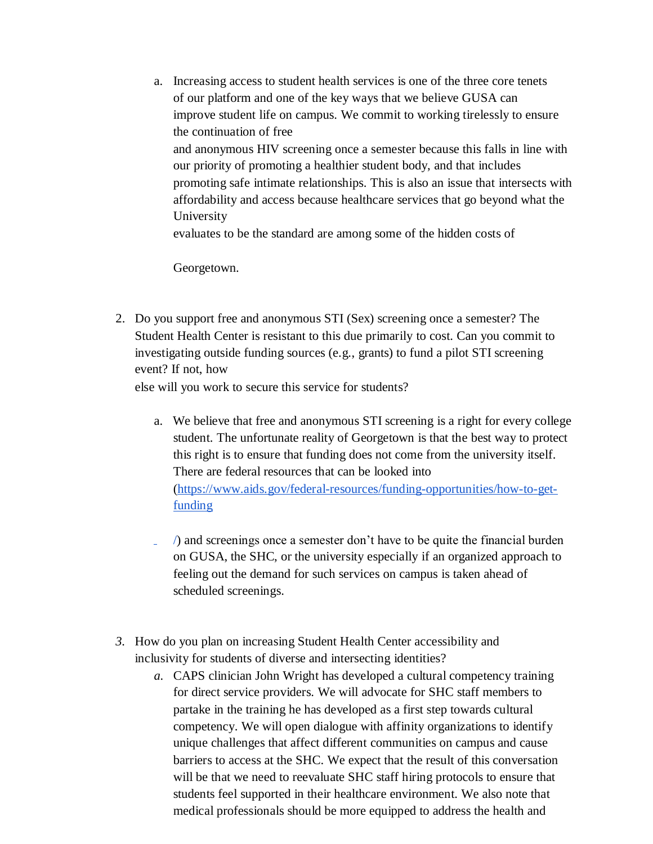a. Increasing access to student health services is one of the three core tenets of our platform and one of the key ways that we believe GUSA can improve student life on campus. We commit to working tirelessly to ensure the continuation of free and anonymous HIV screening once a semester because this falls in line with our priority of promoting a healthier student body, and that includes promoting safe intimate relationships. This is also an issue that intersects with affordability and access because healthcare services that go beyond what the University evaluates to be the standard are among some of the hidden costs of

Georgetown.

2. Do you support free and anonymous STI (Sex) screening once a semester? The Student Health Center is resistant to this due primarily to cost. Can you commit to investigating outside funding sources (e.g., grants) to fund a pilot STI screening event? If not, how

else will you work to secure this service for students?

- a. We believe that free and anonymous STI screening is a right for every college student. The unfortunate reality of Georgetown is that the best way to protect this right is to ensure that funding does not come from the university itself. There are federal resources that can be looked into [\(https://www.aids.gov/federal-resources/funding-opportunities/how-to-get](http://www.aids.gov/federal-resources/funding-opportunities/how-to-get-funding)[funding](http://www.aids.gov/federal-resources/funding-opportunities/how-to-get-funding)
- /) and screenings once a semester don't have to be quite the financial burden a. on GUSA, the SHC, or the university especially if an organized approach to feeling out the demand for such services on campus is taken ahead of scheduled screenings.
- *3.* How do you plan on increasing Student Health Center accessibility and inclusivity for students of diverse and intersecting identities?
	- *a.* CAPS clinician John Wright has developed a cultural competency training for direct service providers. We will advocate for SHC staff members to partake in the training he has developed as a first step towards cultural competency. We will open dialogue with affinity organizations to identify unique challenges that affect different communities on campus and cause barriers to access at the SHC. We expect that the result of this conversation will be that we need to reevaluate SHC staff hiring protocols to ensure that students feel supported in their healthcare environment. We also note that medical professionals should be more equipped to address the health and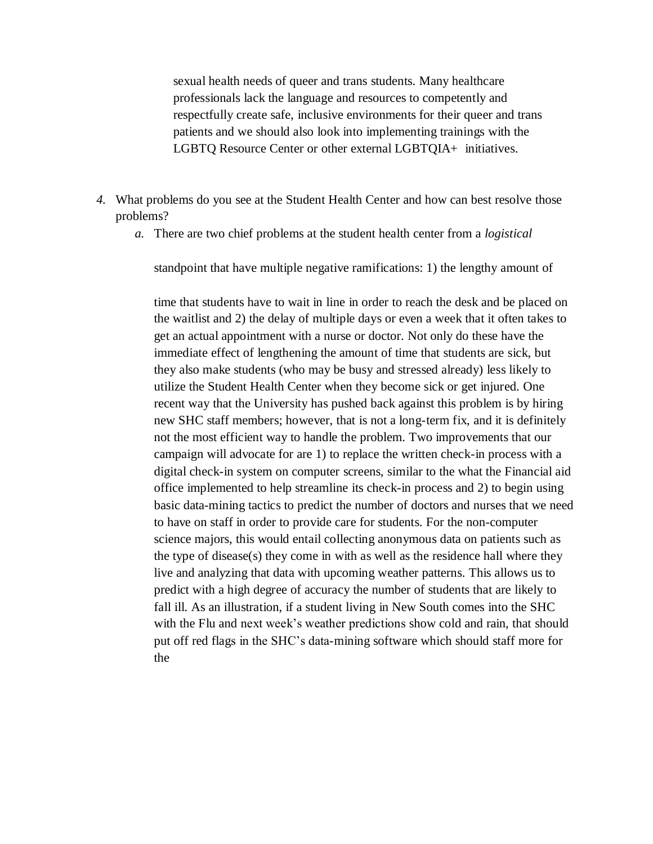sexual health needs of queer and trans students. Many healthcare professionals lack the language and resources to competently and respectfully create safe, inclusive environments for their queer and trans patients and we should also look into implementing trainings with the LGBTQ Resource Center or other external LGBTQIA+ initiatives.

- *4.* What problems do you see at the Student Health Center and how can best resolve those problems?
	- *a.* There are two chief problems at the student health center from a *logistical*

standpoint that have multiple negative ramifications: 1) the lengthy amount of

time that students have to wait in line in order to reach the desk and be placed on the waitlist and 2) the delay of multiple days or even a week that it often takes to get an actual appointment with a nurse or doctor. Not only do these have the immediate effect of lengthening the amount of time that students are sick, but they also make students (who may be busy and stressed already) less likely to utilize the Student Health Center when they become sick or get injured. One recent way that the University has pushed back against this problem is by hiring new SHC staff members; however, that is not a long-term fix, and it is definitely not the most efficient way to handle the problem. Two improvements that our campaign will advocate for are 1) to replace the written check-in process with a digital check-in system on computer screens, similar to the what the Financial aid office implemented to help streamline its check-in process and 2) to begin using basic data-mining tactics to predict the number of doctors and nurses that we need to have on staff in order to provide care for students. For the non-computer science majors, this would entail collecting anonymous data on patients such as the type of disease(s) they come in with as well as the residence hall where they live and analyzing that data with upcoming weather patterns. This allows us to predict with a high degree of accuracy the number of students that are likely to fall ill. As an illustration, if a student living in New South comes into the SHC with the Flu and next week's weather predictions show cold and rain, that should put off red flags in the SHC's data-mining software which should staff more for the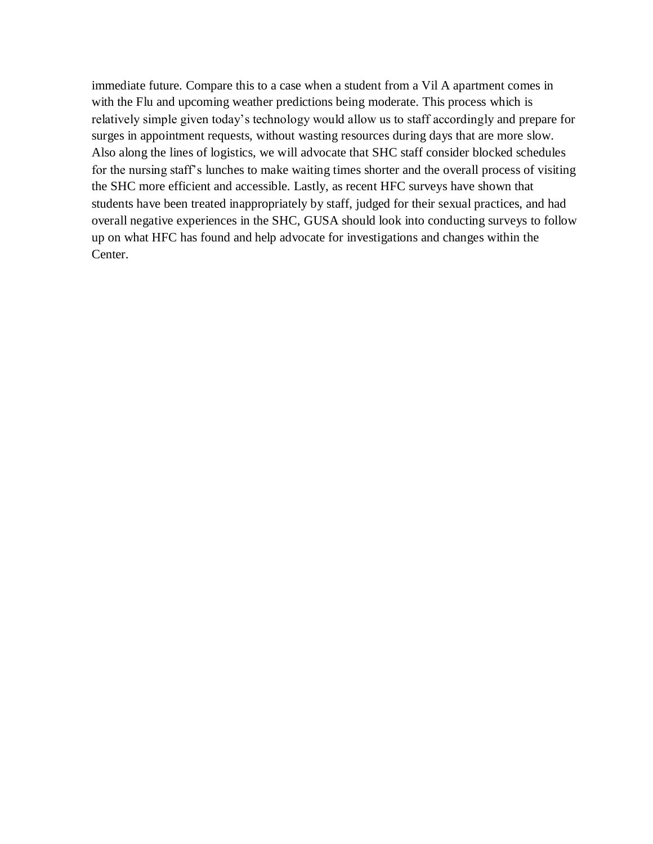immediate future. Compare this to a case when a student from a Vil A apartment comes in with the Flu and upcoming weather predictions being moderate. This process which is relatively simple given today's technology would allow us to staff accordingly and prepare for surges in appointment requests, without wasting resources during days that are more slow. Also along the lines of logistics, we will advocate that SHC staff consider blocked schedules for the nursing staff's lunches to make waiting times shorter and the overall process of visiting the SHC more efficient and accessible. Lastly, as recent HFC surveys have shown that students have been treated inappropriately by staff, judged for their sexual practices, and had overall negative experiences in the SHC, GUSA should look into conducting surveys to follow up on what HFC has found and help advocate for investigations and changes within the Center.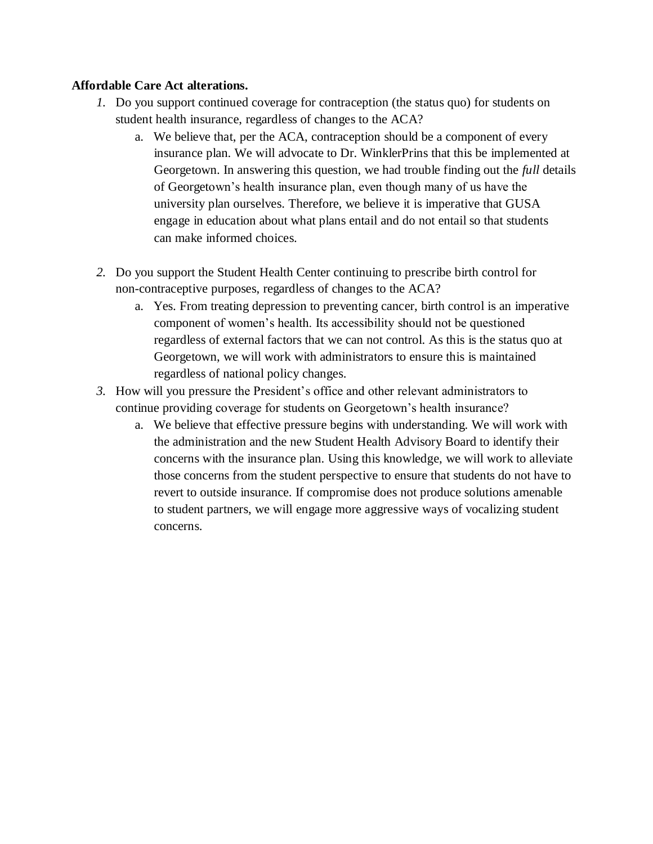# **Affordable Care Act alterations.**

- *1.* Do you support continued coverage for contraception (the status quo) for students on student health insurance, regardless of changes to the ACA?
	- a. We believe that, per the ACA, contraception should be a component of every insurance plan. We will advocate to Dr. WinklerPrins that this be implemented at Georgetown. In answering this question, we had trouble finding out the *full* details of Georgetown's health insurance plan, even though many of us have the university plan ourselves. Therefore, we believe it is imperative that GUSA engage in education about what plans entail and do not entail so that students can make informed choices.
- *2.* Do you support the Student Health Center continuing to prescribe birth control for non-contraceptive purposes, regardless of changes to the ACA?
	- a. Yes. From treating depression to preventing cancer, birth control is an imperative component of women's health. Its accessibility should not be questioned regardless of external factors that we can not control. As this is the status quo at Georgetown, we will work with administrators to ensure this is maintained regardless of national policy changes.
- *3.* How will you pressure the President's office and other relevant administrators to continue providing coverage for students on Georgetown's health insurance?
	- a. We believe that effective pressure begins with understanding. We will work with the administration and the new Student Health Advisory Board to identify their concerns with the insurance plan. Using this knowledge, we will work to alleviate those concerns from the student perspective to ensure that students do not have to revert to outside insurance. If compromise does not produce solutions amenable to student partners, we will engage more aggressive ways of vocalizing student concerns.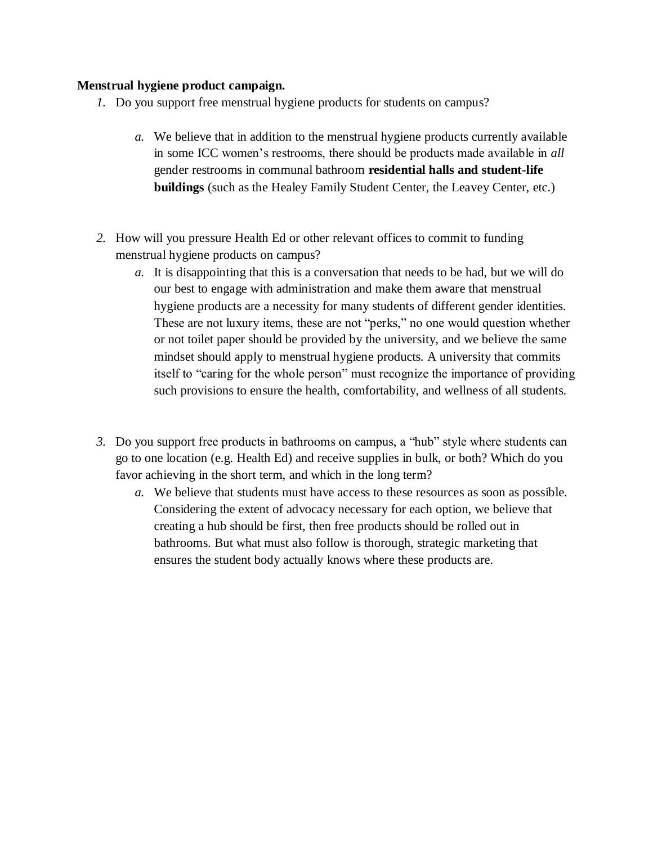# **Menstrual hygiene product campaign.**

- *1.* Do you support free menstrual hygiene products for students on campus?
	- *a.* We believe that in addition to the menstrual hygiene products currently available in some ICC women's restrooms, there should be products made available in *all*  gender restrooms in communal bathroom **residential halls and student-life buildings** (such as the Healey Family Student Center, the Leavey Center, etc.)
- *2.* How will you pressure Health Ed or other relevant offices to commit to funding menstrual hygiene products on campus?
	- *a.* It is disappointing that this is a conversation that needs to be had, but we will do our best to engage with administration and make them aware that menstrual hygiene products are a necessity for many students of different gender identities. These are not luxury items, these are not "perks," no one would question whether or not toilet paper should be provided by the university, and we believe the same mindset should apply to menstrual hygiene products. A university that commits itself to "caring for the whole person" must recognize the importance of providing such provisions to ensure the health, comfortability, and wellness of all students.
- *3.* Do you support free products in bathrooms on campus, a "hub" style where students can go to one location (e.g. Health Ed) and receive supplies in bulk, or both? Which do you favor achieving in the short term, and which in the long term?
	- *a.* We believe that students must have access to these resources as soon as possible. Considering the extent of advocacy necessary for each option, we believe that creating a hub should be first, then free products should be rolled out in bathrooms. But what must also follow is thorough, strategic marketing that ensures the student body actually knows where these products are.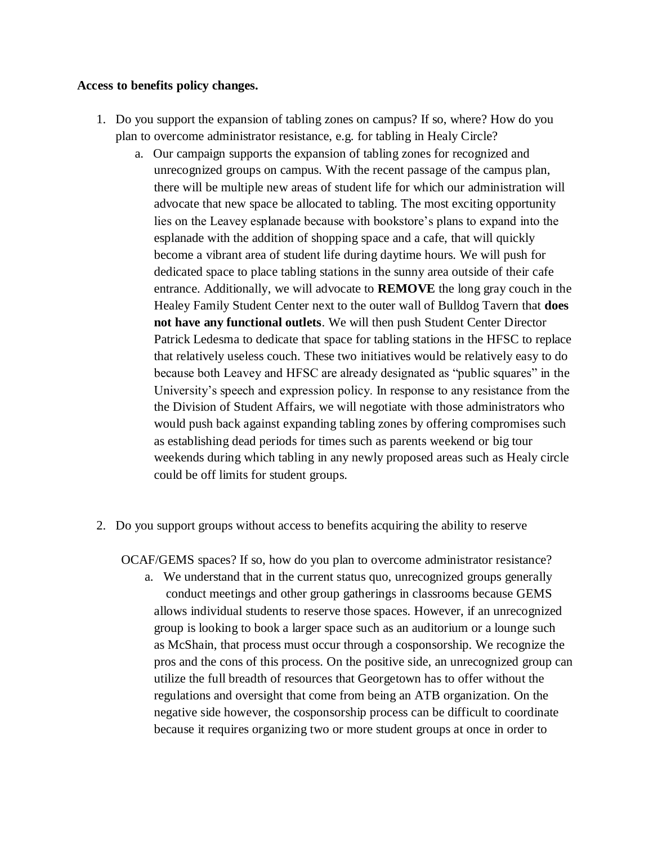## **Access to benefits policy changes.**

- 1. Do you support the expansion of tabling zones on campus? If so, where? How do you plan to overcome administrator resistance, e.g. for tabling in Healy Circle?
	- a. Our campaign supports the expansion of tabling zones for recognized and unrecognized groups on campus. With the recent passage of the campus plan, there will be multiple new areas of student life for which our administration will advocate that new space be allocated to tabling. The most exciting opportunity lies on the Leavey esplanade because with bookstore's plans to expand into the esplanade with the addition of shopping space and a cafe, that will quickly become a vibrant area of student life during daytime hours. We will push for dedicated space to place tabling stations in the sunny area outside of their cafe entrance. Additionally, we will advocate to **REMOVE** the long gray couch in the Healey Family Student Center next to the outer wall of Bulldog Tavern that **does not have any functional outlets**. We will then push Student Center Director Patrick Ledesma to dedicate that space for tabling stations in the HFSC to replace that relatively useless couch. These two initiatives would be relatively easy to do because both Leavey and HFSC are already designated as "public squares" in the University's speech and expression policy. In response to any resistance from the the Division of Student Affairs, we will negotiate with those administrators who would push back against expanding tabling zones by offering compromises such as establishing dead periods for times such as parents weekend or big tour weekends during which tabling in any newly proposed areas such as Healy circle could be off limits for student groups.
- 2. Do you support groups without access to benefits acquiring the ability to reserve

OCAF/GEMS spaces? If so, how do you plan to overcome administrator resistance?

a. We understand that in the current status quo, unrecognized groups generally conduct meetings and other group gatherings in classrooms because GEMS allows individual students to reserve those spaces. However, if an unrecognized group is looking to book a larger space such as an auditorium or a lounge such as McShain, that process must occur through a cosponsorship. We recognize the pros and the cons of this process. On the positive side, an unrecognized group can utilize the full breadth of resources that Georgetown has to offer without the regulations and oversight that come from being an ATB organization. On the negative side however, the cosponsorship process can be difficult to coordinate because it requires organizing two or more student groups at once in order to